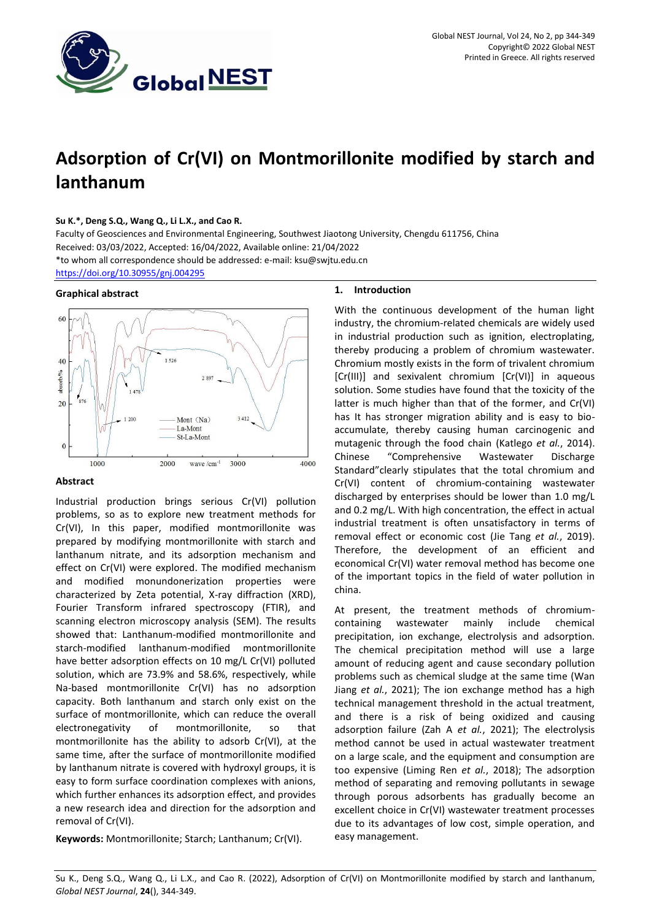

# **Adsorption of Cr(VI) on Montmorillonite modified by starch and lanthanum**

## **Su K.\*, Deng S.Q., Wang Q., Li L.X., and Cao R.**

Faculty of Geosciences and Environmental Engineering, Southwest Jiaotong University, Chengdu 611756, China Received: 03/03/2022, Accepted: 16/04/2022, Available online: 21/04/2022 \*to whom all correspondence should be addressed: e-mail[: ksu@swjtu.edu.cn](mailto:ksu@swjtu.edu.cn)

<https://doi.org/10.30955/gnj.004295>

## **Graphical abstract**



## **Abstract**

Industrial production brings serious Cr(VI) pollution problems, so as to explore new treatment methods for Cr(VI), In this paper, modified montmorillonite was prepared by modifying montmorillonite with starch and lanthanum nitrate, and its adsorption mechanism and effect on Cr(VI) were explored. The modified mechanism and modified monundonerization properties were characterized by Zeta potential, X-ray diffraction (XRD), Fourier Transform infrared spectroscopy (FTIR), and scanning electron microscopy analysis (SEM). The results showed that: Lanthanum-modified montmorillonite and starch-modified lanthanum-modified montmorillonite have better adsorption effects on 10 mg/L Cr(VI) polluted solution, which are 73.9% and 58.6%, respectively, while Na-based montmorillonite Cr(VI) has no adsorption capacity. Both lanthanum and starch only exist on the surface of montmorillonite, which can reduce the overall electronegativity of montmorillonite, so that montmorillonite has the ability to adsorb Cr(VI), at the same time, after the surface of montmorillonite modified by lanthanum nitrate is covered with hydroxyl groups, it is easy to form surface coordination complexes with anions, which further enhances its adsorption effect, and provides a new research idea and direction for the adsorption and removal of Cr(VI).

**Keywords:** Montmorillonite; Starch; Lanthanum; Cr(VI).

#### **1. Introduction**

With the continuous development of the human light industry, the chromium-related chemicals are widely used in industrial production such as ignition, electroplating, thereby producing a problem of chromium wastewater. Chromium mostly exists in the form of trivalent chromium [Cr(III)] and sexivalent chromium [Cr(VI)] in aqueous solution. Some studies have found that the toxicity of the latter is much higher than that of the former, and Cr(VI) has It has stronger migration ability and is easy to bioaccumulate, thereby causing human carcinogenic and mutagenic through the food chain (Katlego *et al.*, 2014). Chinese "Comprehensive Wastewater Discharge Standard"clearly stipulates that the total chromium and Cr(VI) content of chromium-containing wastewater discharged by enterprises should be lower than 1.0 mg/L and 0.2 mg/L. With high concentration, the effect in actual industrial treatment is often unsatisfactory in terms of removal effect or economic cost (Jie Tang *et al.*, 2019). Therefore, the development of an efficient and economical Cr(VI) water removal method has become one of the important topics in the field of water pollution in china.

At present, the treatment methods of chromiumcontaining wastewater mainly include chemical precipitation, ion exchange, electrolysis and adsorption. The chemical precipitation method will use a large amount of reducing agent and cause secondary pollution problems such as chemical sludge at the same time (Wan Jiang *et al.*, 2021); The ion exchange method has a high technical management threshold in the actual treatment, and there is a risk of being oxidized and causing adsorption failure (Zah A *et al.*, 2021); The electrolysis method cannot be used in actual wastewater treatment on a large scale, and the equipment and consumption are too expensive (Liming Ren *et al.*, 2018); The adsorption method of separating and removing pollutants in sewage through porous adsorbents has gradually become an excellent choice in Cr(VI) wastewater treatment processes due to its advantages of low cost, simple operation, and easy management.

Su K., Deng S.Q., Wang Q., Li L.X., and Cao R. (2022), Adsorption of Cr(VI) on Montmorillonite modified by starch and lanthanum, *Global NEST Journal*, **24**(), 344-349.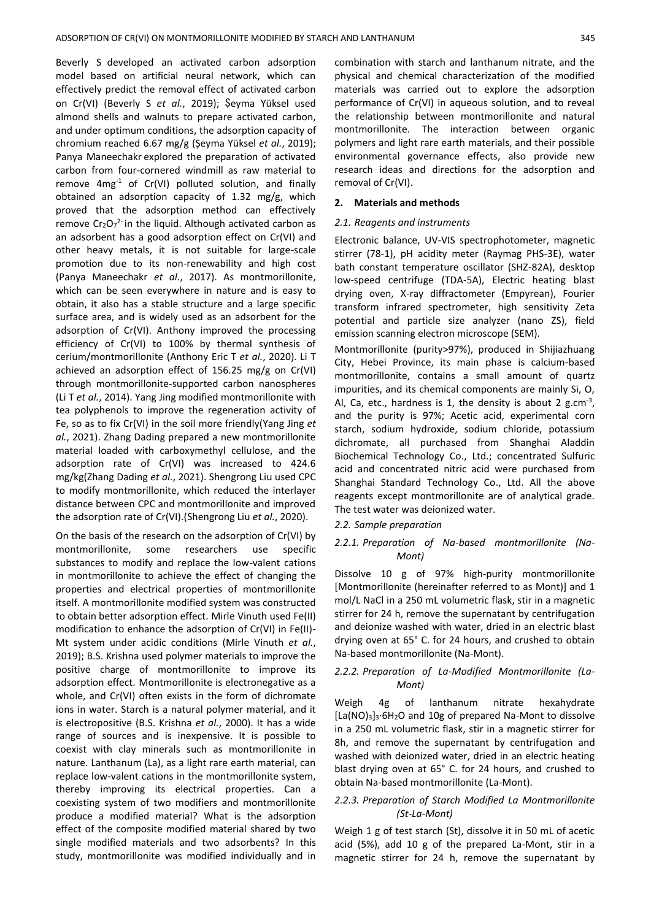Beverly S developed an activated carbon adsorption model based on artificial neural network, which can effectively predict the removal effect of activated carbon on Cr(VI) (Beverly S *et al.*, 2019); Şeyma Yüksel used almond shells and walnuts to prepare activated carbon, and under optimum conditions, the adsorption capacity of chromium reached 6.67 mg/g (Şeyma Yüksel *et al.*, 2019); Panya Maneechakr explored the preparation of activated carbon from four-cornered windmill as raw material to remove  $4mg^{-1}$  of Cr(VI) polluted solution, and finally obtained an adsorption capacity of 1.32 mg/g, which proved that the adsorption method can effectively remove  $Cr_2O_7^2$  in the liquid. Although activated carbon as an adsorbent has a good adsorption effect on Cr(VI) and other heavy metals, it is not suitable for large-scale promotion due to its non-renewability and high cost (Panya Maneechakr *et al.*, 2017). As montmorillonite, which can be seen everywhere in nature and is easy to obtain, it also has a stable structure and a large specific surface area, and is widely used as an adsorbent for the adsorption of Cr(VI). Anthony improved the processing efficiency of Cr(VI) to 100% by thermal synthesis of cerium/montmorillonite (Anthony Eric T *et al.*, 2020). Li T achieved an adsorption effect of 156.25 mg/g on Cr(VI) through montmorillonite-supported carbon nanospheres (Li T *et al.*, 2014). Yang Jing modified montmorillonite with tea polyphenols to improve the regeneration activity of Fe, so as to fix Cr(VI) in the soil more friendly(Yang Jing *et al.*, 2021). Zhang Dading prepared a new montmorillonite material loaded with carboxymethyl cellulose, and the adsorption rate of Cr(VI) was increased to 424.6 mg/kg(Zhang Dading *et al.*, 2021). Shengrong Liu used CPC to modify montmorillonite, which reduced the interlayer distance between CPC and montmorillonite and improved the adsorption rate of Cr(VI).(Shengrong Liu *et al.*, 2020).

On the basis of the research on the adsorption of Cr(VI) by montmorillonite, some researchers use specific substances to modify and replace the low-valent cations in montmorillonite to achieve the effect of changing the properties and electrical properties of montmorillonite itself. A montmorillonite modified system was constructed to obtain better adsorption effect. Mirle Vinuth used Fe(II) modification to enhance the adsorption of Cr(VI) in Fe(II)- Mt system under acidic conditions (Mirle Vinuth *et al.*, 2019); B.S. Krishna used polymer materials to improve the positive charge of montmorillonite to improve its adsorption effect. Montmorillonite is electronegative as a whole, and Cr(VI) often exists in the form of dichromate ions in water. Starch is a natural polymer material, and it is electropositive (B.S. Krishna *et al.*, 2000). It has a wide range of sources and is inexpensive. It is possible to coexist with clay minerals such as montmorillonite in nature. Lanthanum (La), as a light rare earth material, can replace low-valent cations in the montmorillonite system, thereby improving its electrical properties. Can a coexisting system of two modifiers and montmorillonite produce a modified material? What is the adsorption effect of the composite modified material shared by two single modified materials and two adsorbents? In this study, montmorillonite was modified individually and in

combination with starch and lanthanum nitrate, and the physical and chemical characterization of the modified materials was carried out to explore the adsorption performance of Cr(VI) in aqueous solution, and to reveal the relationship between montmorillonite and natural montmorillonite. The interaction between organic polymers and light rare earth materials, and their possible environmental governance effects, also provide new research ideas and directions for the adsorption and removal of Cr(VI).

#### **2. Materials and methods**

#### *2.1. Reagents and instruments*

Electronic balance, UV-VIS spectrophotometer, magnetic stirrer (78-1), pH acidity meter (Raymag PHS-3E), water bath constant temperature oscillator (SHZ-82A), desktop low-speed centrifuge (TDA-5A), Electric heating blast drying oven, X-ray diffractometer (Empyrean), Fourier transform infrared spectrometer, high sensitivity Zeta potential and particle size analyzer (nano ZS), field emission scanning electron microscope (SEM).

Montmorillonite (purity>97%), produced in Shijiazhuang City, Hebei Province, its main phase is calcium-based montmorillonite, contains a small amount of quartz impurities, and its chemical components are mainly Si, O, Al, Ca, etc., hardness is 1, the density is about 2 g.cm<sup>-3</sup>, and the purity is 97%; Acetic acid, experimental corn starch, sodium hydroxide, sodium chloride, potassium dichromate, all purchased from Shanghai Aladdin Biochemical Technology Co., Ltd.; concentrated Sulfuric acid and concentrated nitric acid were purchased from Shanghai Standard Technology Co., Ltd. All the above reagents except montmorillonite are of analytical grade. The test water was deionized water.

#### *2.2. Sample preparation*

# *2.2.1. Preparation of Na-based montmorillonite (Na-Mont)*

Dissolve 10 g of 97% high-purity montmorillonite [Montmorillonite (hereinafter referred to as Mont)] and 1 mol/L NaCl in a 250 mL volumetric flask, stir in a magnetic stirrer for 24 h, remove the supernatant by centrifugation and deionize washed with water, dried in an electric blast drying oven at 65° C. for 24 hours, and crushed to obtain Na-based montmorillonite (Na-Mont).

## *2.2.2. Preparation of La-Modified Montmorillonite (La-Mont)*

Weigh 4g of lanthanum nitrate hexahydrate [La(NO)3]3·6H2O and 10g of prepared Na-Mont to dissolve in a 250 mL volumetric flask, stir in a magnetic stirrer for 8h, and remove the supernatant by centrifugation and washed with deionized water, dried in an electric heating blast drying oven at 65° C. for 24 hours, and crushed to obtain Na-based montmorillonite (La-Mont).

## *2.2.3. Preparation of Starch Modified La Montmorillonite (St-La-Mont)*

Weigh 1 g of test starch (St), dissolve it in 50 mL of acetic acid (5%), add 10 g of the prepared La-Mont, stir in a magnetic stirrer for 24 h, remove the supernatant by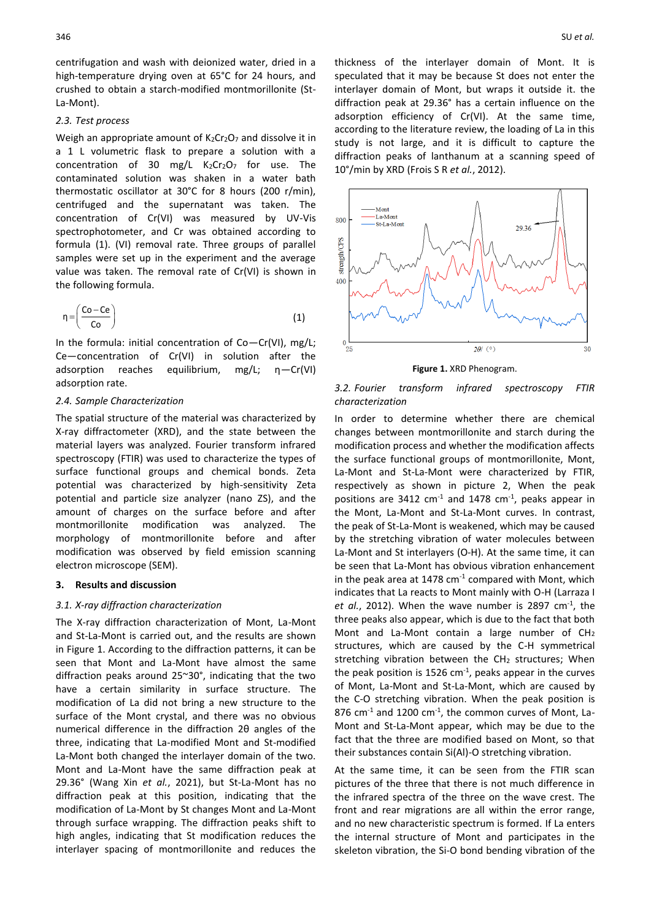centrifugation and wash with deionized water, dried in a high-temperature drying oven at 65°C for 24 hours, and crushed to obtain a starch-modified montmorillonite (St-La-Mont).

## *2.3. Test process*

Weigh an appropriate amount of  $K_2Cr_2O_7$  and dissolve it in a 1 L volumetric flask to prepare a solution with a concentration of 30 mg/L  $K_2Cr_2O_7$  for use. The contaminated solution was shaken in a water bath thermostatic oscillator at 30°C for 8 hours (200 r/min), centrifuged and the supernatant was taken. The concentration of Cr(VI) was measured by UV-Vis spectrophotometer, and Cr was obtained according to formula (1). (VI) removal rate. Three groups of parallel samples were set up in the experiment and the average value was taken. The removal rate of Cr(VI) is shown in the following formula.

$$
\eta = \left(\frac{Co - Ce}{Co}\right) \tag{1}
$$

In the formula: initial concentration of Co—Cr(VI), mg/L; Ce—concentration of Cr(VI) in solution after the adsorption reaches equilibrium, mg/L; η—Cr(VI) adsorption rate.

#### *2.4. Sample Characterization*

The spatial structure of the material was characterized by X-ray diffractometer (XRD), and the state between the material layers was analyzed. Fourier transform infrared spectroscopy (FTIR) was used to characterize the types of surface functional groups and chemical bonds. Zeta potential was characterized by high-sensitivity Zeta potential and particle size analyzer (nano ZS), and the amount of charges on the surface before and after montmorillonite modification was analyzed. The morphology of montmorillonite before and after modification was observed by field emission scanning electron microscope (SEM).

#### **3. Results and discussion**

## *3.1. X-ray diffraction characterization*

The X-ray diffraction characterization of Mont, La-Mont and St-La-Mont is carried out, and the results are shown in Figure 1. According to the diffraction patterns, it can be seen that Mont and La-Mont have almost the same diffraction peaks around 25~30°, indicating that the two have a certain similarity in surface structure. The modification of La did not bring a new structure to the surface of the Mont crystal, and there was no obvious numerical difference in the diffraction 2θ angles of the three, indicating that La-modified Mont and St-modified La-Mont both changed the interlayer domain of the two. Mont and La-Mont have the same diffraction peak at 29.36° (Wang Xin *et al.*, 2021), but St-La-Mont has no diffraction peak at this position, indicating that the modification of La-Mont by St changes Mont and La-Mont through surface wrapping. The diffraction peaks shift to high angles, indicating that St modification reduces the interlayer spacing of montmorillonite and reduces the

thickness of the interlayer domain of Mont. It is speculated that it may be because St does not enter the interlayer domain of Mont, but wraps it outside it. the diffraction peak at 29.36° has a certain influence on the adsorption efficiency of Cr(VI). At the same time, according to the literature review, the loading of La in this study is not large, and it is difficult to capture the diffraction peaks of lanthanum at a scanning speed of 10°/min by XRD (Frois S R *et al.*, 2012).



**Figure 1.** XRD Phenogram.

*3.2. Fourier transform infrared spectroscopy FTIR characterization*

In order to determine whether there are chemical changes between montmorillonite and starch during the modification process and whether the modification affects the surface functional groups of montmorillonite, Mont, La-Mont and St-La-Mont were characterized by FTIR, respectively as shown in picture 2, When the peak positions are 3412  $cm<sup>-1</sup>$  and 1478  $cm<sup>-1</sup>$ , peaks appear in the Mont, La-Mont and St-La-Mont curves. In contrast, the peak of St-La-Mont is weakened, which may be caused by the stretching vibration of water molecules between La-Mont and St interlayers (O-H). At the same time, it can be seen that La-Mont has obvious vibration enhancement in the peak area at  $1478 \text{ cm}^{-1}$  compared with Mont, which indicates that La reacts to Mont mainly with O-H (Larraza I et al., 2012). When the wave number is 2897 cm<sup>-1</sup>, the three peaks also appear, which is due to the fact that both Mont and La-Mont contain a large number of CH<sup>2</sup> structures, which are caused by the C-H symmetrical stretching vibration between the  $CH<sub>2</sub>$  structures; When the peak position is 1526  $cm<sup>-1</sup>$ , peaks appear in the curves of Mont, La-Mont and St-La-Mont, which are caused by the C-O stretching vibration. When the peak position is 876  $cm<sup>-1</sup>$  and 1200  $cm<sup>-1</sup>$ , the common curves of Mont, La-Mont and St-La-Mont appear, which may be due to the fact that the three are modified based on Mont, so that their substances contain Si(Al)-O stretching vibration.

At the same time, it can be seen from the FTIR scan pictures of the three that there is not much difference in the infrared spectra of the three on the wave crest. The front and rear migrations are all within the error range, and no new characteristic spectrum is formed. If La enters the internal structure of Mont and participates in the skeleton vibration, the Si-O bond bending vibration of the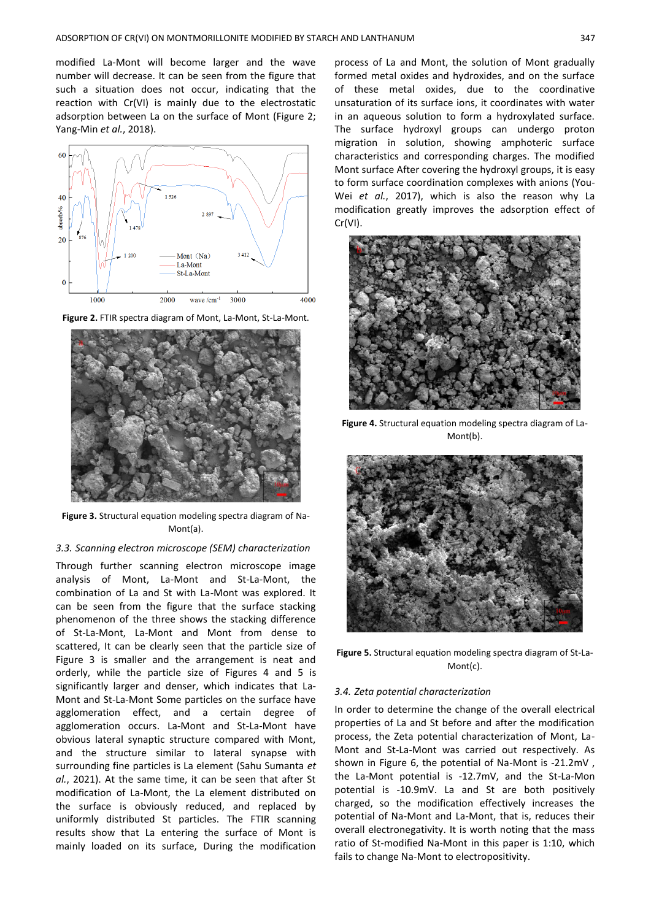modified La-Mont will become larger and the wave number will decrease. It can be seen from the figure that such a situation does not occur, indicating that the reaction with Cr(VI) is mainly due to the electrostatic adsorption between La on the surface of Mont (Figure 2; Yang-Min *et al.*, 2018).



**Figure 2.** FTIR spectra diagram of Mont, La-Mont, St-La-Mont.



**Figure 3.** Structural equation modeling spectra diagram of Na-Mont(a).

## *3.3. Scanning electron microscope (SEM) characterization*

Through further scanning electron microscope image analysis of Mont, La-Mont and St-La-Mont, the combination of La and St with La-Mont was explored. It can be seen from the figure that the surface stacking phenomenon of the three shows the stacking difference of St-La-Mont, La-Mont and Mont from dense to scattered, It can be clearly seen that the particle size of Figure 3 is smaller and the arrangement is neat and orderly, while the particle size of Figures 4 and 5 is significantly larger and denser, which indicates that La-Mont and St-La-Mont Some particles on the surface have agglomeration effect, and a certain degree of agglomeration occurs. La-Mont and St-La-Mont have obvious lateral synaptic structure compared with Mont, and the structure similar to lateral synapse with surrounding fine particles is La element (Sahu Sumanta *et al.*, 2021). At the same time, it can be seen that after St modification of La-Mont, the La element distributed on the surface is obviously reduced, and replaced by uniformly distributed St particles. The FTIR scanning results show that La entering the surface of Mont is mainly loaded on its surface, During the modification

process of La and Mont, the solution of Mont gradually formed metal oxides and hydroxides, and on the surface of these metal oxides, due to the coordinative unsaturation of its surface ions, it coordinates with water in an aqueous solution to form a hydroxylated surface. The surface hydroxyl groups can undergo proton migration in solution, showing amphoteric surface characteristics and corresponding charges. The modified Mont surface After covering the hydroxyl groups, it is easy to form surface coordination complexes with anions (You-Wei *et al.*, 2017), which is also the reason why La modification greatly improves the adsorption effect of Cr(VI).



**Figure 4.** Structural equation modeling spectra diagram of La-Mont(b).



**Figure 5.** Structural equation modeling spectra diagram of St-La-Mont(c).

#### *3.4. Zeta potential characterization*

In order to determine the change of the overall electrical properties of La and St before and after the modification process, the Zeta potential characterization of Mont, La-Mont and St-La-Mont was carried out respectively. As shown in Figure 6, the potential of Na-Mont is -21.2mV , the La-Mont potential is -12.7mV, and the St-La-Mon potential is -10.9mV. La and St are both positively charged, so the modification effectively increases the potential of Na-Mont and La-Mont, that is, reduces their overall electronegativity. It is worth noting that the mass ratio of St-modified Na-Mont in this paper is 1:10, which fails to change Na-Mont to electropositivity.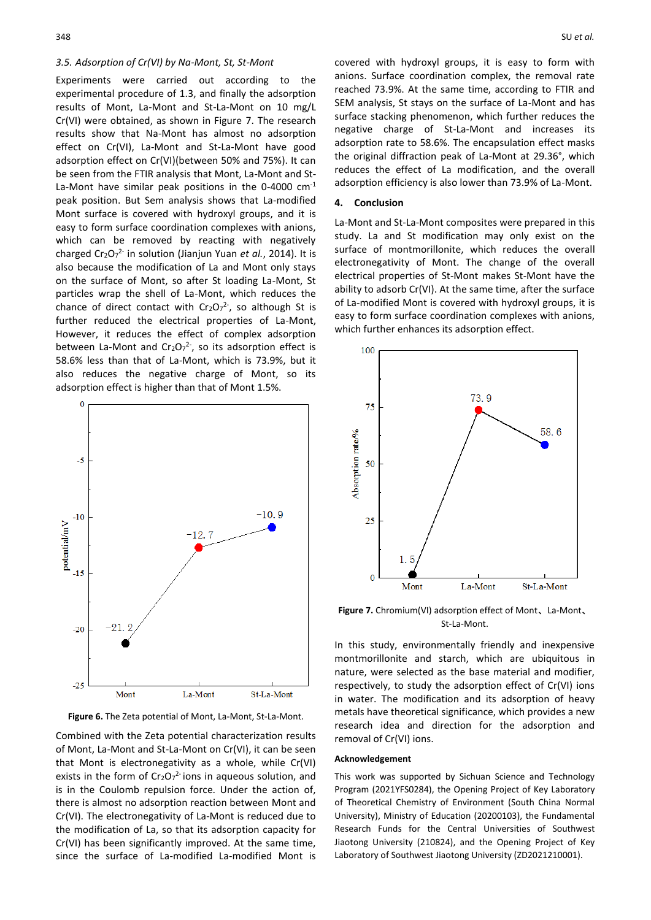#### *3.5. Adsorption of Cr(VI) by Na-Mont, St, St-Mont*

Experiments were carried out according to the experimental procedure of 1.3, and finally the adsorption results of Mont, La-Mont and St-La-Mont on 10 mg/L Cr(VI) were obtained, as shown in Figure 7. The research results show that Na-Mont has almost no adsorption effect on Cr(VI), La-Mont and St-La-Mont have good adsorption effect on Cr(VI)(between 50% and 75%). It can be seen from the FTIR analysis that Mont, La-Mont and St-La-Mont have similar peak positions in the 0-4000  $cm^{-1}$ peak position. But Sem analysis shows that La-modified Mont surface is covered with hydroxyl groups, and it is easy to form surface coordination complexes with anions, which can be removed by reacting with negatively charged Cr<sub>2</sub>O<sub>7</sub><sup>2-</sup> in solution (Jianjun Yuan *et al.*, 2014). It is also because the modification of La and Mont only stays on the surface of Mont, so after St loading La-Mont, St particles wrap the shell of La-Mont, which reduces the chance of direct contact with  $Cr_2O_7^2$ , so although St is further reduced the electrical properties of La-Mont, However, it reduces the effect of complex adsorption between La-Mont and Cr<sub>2</sub>O<sub>7</sub><sup>2</sup>, so its adsorption effect is 58.6% less than that of La-Mont, which is 73.9%, but it also reduces the negative charge of Mont, so its adsorption effect is higher than that of Mont 1.5%.



**Figure 6.** The Zeta potential of Mont, La-Mont, St-La-Mont.

Combined with the Zeta potential characterization results of Mont, La-Mont and St-La-Mont on Cr(VI), it can be seen that Mont is electronegativity as a whole, while Cr(VI) exists in the form of  $Cr_2O_7^2$  ions in aqueous solution, and is in the Coulomb repulsion force. Under the action of, there is almost no adsorption reaction between Mont and Cr(VI). The electronegativity of La-Mont is reduced due to the modification of La, so that its adsorption capacity for Cr(VI) has been significantly improved. At the same time, since the surface of La-modified La-modified Mont is

covered with hydroxyl groups, it is easy to form with anions. Surface coordination complex, the removal rate reached 73.9%. At the same time, according to FTIR and SEM analysis, St stays on the surface of La-Mont and has surface stacking phenomenon, which further reduces the negative charge of St-La-Mont and increases its adsorption rate to 58.6%. The encapsulation effect masks the original diffraction peak of La-Mont at 29.36°, which reduces the effect of La modification, and the overall adsorption efficiency is also lower than 73.9% of La-Mont.

#### **4. Conclusion**

La-Mont and St-La-Mont composites were prepared in this study. La and St modification may only exist on the surface of montmorillonite, which reduces the overall electronegativity of Mont. The change of the overall electrical properties of St-Mont makes St-Mont have the ability to adsorb Cr(VI). At the same time, after the surface of La-modified Mont is covered with hydroxyl groups, it is easy to form surface coordination complexes with anions, which further enhances its adsorption effect.



**Figure 7.** Chromium(VI) adsorption effect of Mont、La-Mont、 St-La-Mont.

In this study, environmentally friendly and inexpensive montmorillonite and starch, which are ubiquitous in nature, were selected as the base material and modifier, respectively, to study the adsorption effect of Cr(VI) ions in water. The modification and its adsorption of heavy metals have theoretical significance, which provides a new research idea and direction for the adsorption and removal of Cr(VI) ions.

#### **Acknowledgement**

This work was supported by Sichuan Science and Technology Program (2021YFS0284), the Opening Project of Key Laboratory of Theoretical Chemistry of Environment (South China Normal University), Ministry of Education (20200103), the Fundamental Research Funds for the Central Universities of Southwest Jiaotong University (210824), and the Opening Project of Key Laboratory of Southwest Jiaotong University (ZD2021210001).